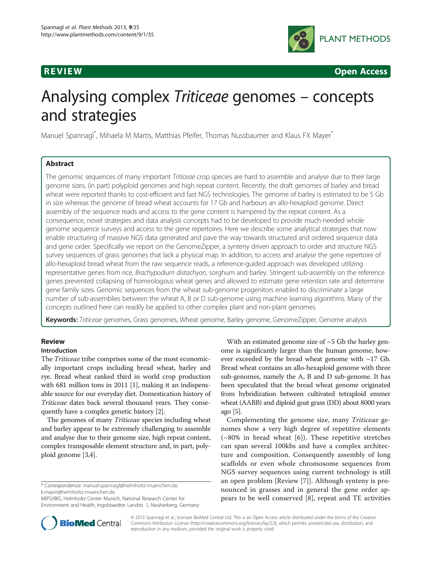

R EVI EW OPEN Access of the United States of the United States of the United States of the United States of th<br>The United States of the United States of the United States of the United States of the United States of the U

# Analysing complex Triticeae genomes – concepts and strategies

Manuel Spannagl<sup>\*</sup>, Mihaela M Martis, Matthias Pfeifer, Thomas Nussbaumer and Klaus FX Mayer<sup>\*</sup>

# **Abstract**

The genomic sequences of many important Triticeae crop species are hard to assemble and analyse due to their large genome sizes, (in part) polyploid genomes and high repeat content. Recently, the draft genomes of barley and bread wheat were reported thanks to cost-efficient and fast NGS technologies. The genome of barley is estimated to be 5 Gb in size whereas the genome of bread wheat accounts for 17 Gb and harbours an allo-hexaploid genome. Direct assembly of the sequence reads and access to the gene content is hampered by the repeat content. As a consequence, novel strategies and data analysis concepts had to be developed to provide much-needed whole genome sequence surveys and access to the gene repertoires. Here we describe some analytical strategies that now enable structuring of massive NGS data generated and pave the way towards structured and ordered sequence data and gene order. Specifically we report on the GenomeZipper, a synteny driven approach to order and structure NGS survey sequences of grass genomes that lack a physical map. In addition, to access and analyse the gene repertoire of allo-hexaploid bread wheat from the raw sequence reads, a reference-guided approach was developed utilizing representative genes from rice, Brachypodium distachyon, sorghum and barley. Stringent sub-assembly on the reference genes prevented collapsing of homeologous wheat genes and allowed to estimate gene retention rate and determine gene family sizes. Genomic sequences from the wheat sub-genome progenitors enabled to discriminate a large number of sub-assemblies between the wheat A, B or D sub-genome using machine learning algorithms. Many of the concepts outlined here can readily be applied to other complex plant and non-plant genomes.

Keywords: Triticeae genomes, Grass genomes, Wheat genome, Barley genome, GenomeZipper, Genome analysis

# **Review**

# Introduction

The Triticeae tribe comprises some of the most economically important crops including bread wheat, barley and rye. Bread wheat ranked third in world crop production with 681 million tons in 2011 [\[1](#page-7-0)], making it an indispensable source for our everyday diet. Domestication history of Triticeae dates back several thousand years. They consequently have a complex genetic history [[2](#page-7-0)].

The genomes of many Triticeae species including wheat and barley appear to be extremely challenging to assemble and analyse due to their genome size, high repeat content, complex transposable element structure and, in part, polyploid genome [[3,4](#page-7-0)].

\* Correspondence: [manuel.spannagl@helmholtz-muenchen.de](mailto:manuel.spannagl@helmholtz-muenchen.de); [k.mayer@helmholtz-muenchen.de](mailto:k.mayer@helmholtz-muenchen.de)

With an estimated genome size of  $~5$  Gb the barley genome is significantly larger than the human genome, however exceeded by the bread wheat genome with  $\sim$ 17 Gb. Bread wheat contains an allo-hexaploid genome with three sub-genomes, namely the A, B and D sub-genome. It has been speculated that the bread wheat genome originated from hybridization between cultivated tetraploid emmer wheat (AABB) and diploid goat grass (DD) about 8000 years ago [\[5\]](#page-7-0).

Complementing the genome size, many Triticeae genomes show a very high degree of repetitive elements  $(-80\%$  in bread wheat [[6\]](#page-7-0)). These repetitive stretches can span several 100kbs and have a complex architecture and composition. Consequently assembly of long scaffolds or even whole chromosome sequences from NGS survey sequences using current technology is still an open problem [Review [[7\]](#page-7-0)]. Although synteny is pronounced in grasses and in general the gene order appears to be well conserved [\[8](#page-7-0)], repeat and TE activities



© 2013 Spannagl et al.; licensee BioMed Central Ltd. This is an Open Access article distributed under the terms of the Creative Commons Attribution License [\(http://creativecommons.org/licenses/by/2.0\)](http://creativecommons.org/licenses/by/2.0), which permits unrestricted use, distribution, and reproduction in any medium, provided the original work is properly cited.

MIPS/IBIS, Helmholtz Center Munich, National Research Center for Environment and Health, Ingolstaedter Landstr. 1, Neuherberg, Germany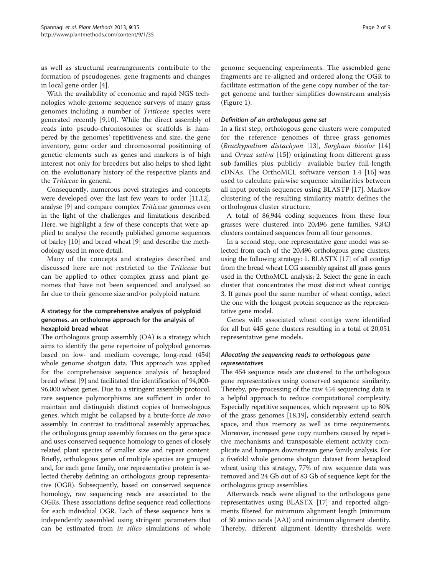as well as structural rearrangements contribute to the formation of pseudogenes, gene fragments and changes in local gene order [[4](#page-7-0)].

With the availability of economic and rapid NGS technologies whole-genome sequence surveys of many grass genomes including a number of Triticeae species were generated recently [[9,10\]](#page-7-0). While the direct assembly of reads into pseudo-chromosomes or scaffolds is hampered by the genomes' repetitiveness and size, the gene inventory, gene order and chromosomal positioning of genetic elements such as genes and markers is of high interest not only for breeders but also helps to shed light on the evolutionary history of the respective plants and the Triticeae in general.

Consequently, numerous novel strategies and concepts were developed over the last few years to order [\[11,12](#page-8-0)], analyse [[9](#page-7-0)] and compare complex Triticeae genomes even in the light of the challenges and limitations described. Here, we highlight a few of these concepts that were applied to analyse the recently published genome sequences of barley [[10](#page-7-0)] and bread wheat [\[9](#page-7-0)] and describe the methodology used in more detail.

Many of the concepts and strategies described and discussed here are not restricted to the Triticeae but can be applied to other complex grass and plant genomes that have not been sequenced and analysed so far due to their genome size and/or polyploid nature.

# A strategy for the comprehensive analysis of polyploid genomes. an ortholome approach for the analysis of hexaploid bread wheat

The orthologous group assembly (OA) is a strategy which aims to identify the gene repertoire of polyploid genomes based on low- and medium coverage, long-read (454) whole genome shotgun data. This approach was applied for the comprehensive sequence analysis of hexaploid bread wheat [\[9\]](#page-7-0) and facilitated the identification of 94,000- 96,000 wheat genes. Due to a stringent assembly protocol, rare sequence polymorphisms are sufficient in order to maintain and distinguish distinct copies of homeologous genes, which might be collapsed by a brute-force de novo assembly. In contrast to traditional assembly approaches, the orthologous group assembly focuses on the gene space and uses conserved sequence homology to genes of closely related plant species of smaller size and repeat content. Briefly, orthologous genes of multiple species are grouped and, for each gene family, one representative protein is selected thereby defining an orthologous group representative (OGR). Subsequently, based on conserved sequence homology, raw sequencing reads are associated to the OGRs. These associations define sequence read collections for each individual OGR. Each of these sequence bins is independently assembled using stringent parameters that can be estimated from in silico simulations of whole

genome sequencing experiments. The assembled gene fragments are re-aligned and ordered along the OGR to facilitate estimation of the gene copy number of the target genome and further simplifies downstream analysis (Figure [1](#page-2-0)).

### Definition of an orthologous gene set

In a first step, orthologous gene clusters were computed for the reference genomes of three grass genomes (Brachypodium distachyon [[13\]](#page-8-0), Sorghum bicolor [\[14](#page-8-0)] and Oryza sativa [[15\]](#page-8-0)) originating from different grass sub-families plus publicly- available barley full-length cDNAs. The OrthoMCL software version 1.4 [[16](#page-8-0)] was used to calculate pairwise sequence similarities between all input protein sequences using BLASTP [[17](#page-8-0)]. Markov clustering of the resulting similarity matrix defines the orthologous cluster structure.

A total of 86,944 coding sequences from these four grasses were clustered into 20,496 gene families. 9,843 clusters contained sequences from all four genomes.

In a second step, one representative gene model was selected from each of the 20,496 orthologous gene clusters, using the following strategy: 1. BLASTX [[17](#page-8-0)] of all contigs from the bread wheat LCG assembly against all grass genes used in the OrthoMCL analysis; 2. Select the gene in each cluster that concentrates the most distinct wheat contigs; 3. If genes pool the same number of wheat contigs, select the one with the longest protein sequence as the representative gene model.

Genes with associated wheat contigs were identified for all but 445 gene clusters resulting in a total of 20,051 representative gene models.

# Allocating the sequencing reads to orthologous gene representatives

The 454 sequence reads are clustered to the orthologous gene representatives using conserved sequence similarity. Thereby, pre-processing of the raw 454 sequencing data is a helpful approach to reduce computational complexity. Especially repetitive sequences, which represent up to 80% of the grass genomes [[18,19\]](#page-8-0), considerably extend search space, and thus memory as well as time requirements. Moreover, increased gene copy numbers caused by repetitive mechanisms and transposable element activity complicate and hampers downstream gene family analysis. For a fivefold whole genome shotgun dataset from hexaploid wheat using this strategy, 77% of raw sequence data was removed and 24 Gb out of 83 Gb of sequence kept for the orthologous group assemblies.

Afterwards reads were aligned to the orthologous gene representatives using BLASTX [[17](#page-8-0)] and reported alignments filtered for minimum alignment length (minimum of 30 amino acids (AA)) and minimum alignment identity. Thereby, different alignment identity thresholds were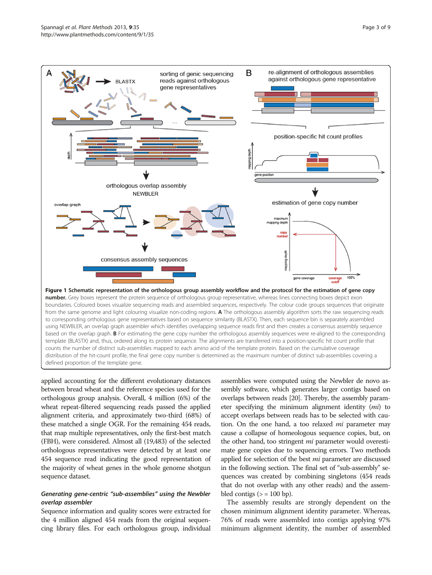<span id="page-2-0"></span>

defined proportion of the template gene.

applied accounting for the different evolutionary distances between bread wheat and the reference species used for the orthologous group analysis. Overall, 4 million (6%) of the wheat repeat-filtered sequencing reads passed the applied alignment criteria, and approximately two-third (68%) of these matched a single OGR. For the remaining 454 reads, that map multiple representatives, only the first-best match (FBH), were considered. Almost all (19,483) of the selected orthologous representatives were detected by at least one 454 sequence read indicating the good representation of the majority of wheat genes in the whole genome shotgun sequence dataset.

# Generating gene-centric "sub-assemblies" using the Newbler overlap assembler

Sequence information and quality scores were extracted for the 4 million aligned 454 reads from the original sequencing library files. For each orthologous group, individual

assemblies were computed using the Newbler de novo assembly software, which generates larger contigs based on overlaps between reads [[20](#page-8-0)]. Thereby, the assembly parameter specifying the minimum alignment identity (mi) to accept overlaps between reads has to be selected with caution. On the one hand, a too relaxed *mi* parameter may cause a collapse of homeologous sequence copies, but, on the other hand, too stringent *mi* parameter would overestimate gene copies due to sequencing errors. Two methods applied for selection of the best *mi* parameter are discussed in the following section. The final set of "sub-assembly" sequences was created by combining singletons (454 reads that do not overlap with any other reads) and the assembled contigs  $(>= 100$  bp).

The assembly results are strongly dependent on the chosen minimum alignment identity parameter. Whereas, 76% of reads were assembled into contigs applying 97% minimum alignment identity, the number of assembled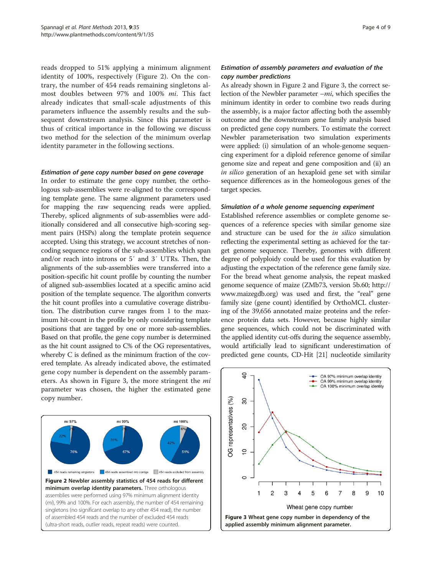reads dropped to 51% applying a minimum alignment identity of 100%, respectively (Figure 2). On the contrary, the number of 454 reads remaining singletons almost doubles between 97% and 100% mi. This fact already indicates that small-scale adjustments of this parameters influence the assembly results and the subsequent downstream analysis. Since this parameter is thus of critical importance in the following we discuss two method for the selection of the minimum overlap identity parameter in the following sections.

#### Estimation of gene copy number based on gene coverage

In order to estimate the gene copy number, the orthologous sub-assemblies were re-aligned to the corresponding template gene. The same alignment parameters used for mapping the raw sequencing reads were applied. Thereby, spliced alignments of sub-assemblies were additionally considered and all consecutive high-scoring segment pairs (HSPs) along the template protein sequence accepted. Using this strategy, we account stretches of noncoding sequence regions of the sub-assemblies which span and/or reach into introns or 5′ and 3′ UTRs. Then, the alignments of the sub-assemblies were transferred into a position-specific hit count profile by counting the number of aligned sub-assemblies located at a specific amino acid position of the template sequence. The algorithm converts the hit count profiles into a cumulative coverage distribution. The distribution curve ranges from 1 to the maximum hit-count in the profile by only considering template positions that are tagged by one or more sub-assemblies. Based on that profile, the gene copy number is determined as the hit count assigned to C% of the OG representatives, whereby C is defined as the minimum fraction of the covered template. As already indicated above, the estimated gene copy number is dependent on the assembly parameters. As shown in Figure 3, the more stringent the *mi* parameter was chosen, the higher the estimated gene copy number.



### Estimation of assembly parameters and evaluation of the copy number predictions

As already shown in Figure 2 and Figure 3, the correct selection of the Newbler parameter  $-mi$ , which specifies the minimum identity in order to combine two reads during the assembly, is a major factor affecting both the assembly outcome and the downstream gene family analysis based on predicted gene copy numbers. To estimate the correct Newbler parameterisation two simulation experiments were applied: (i) simulation of an whole-genome sequencing experiment for a diploid reference genome of similar genome size and repeat and gene composition and (ii) an in silico generation of an hexaploid gene set with similar sequence differences as in the homeologous genes of the target species.

#### Simulation of a whole genome sequencing experiment

Established reference assemblies or complete genome sequences of a reference species with similar genome size and structure can be used for the in silico simulation reflecting the experimental setting as achieved for the target genome sequence. Thereby, genomes with different degree of polyploidy could be used for this evaluation by adjusting the expectation of the reference gene family size. For the bread wheat genome analysis, the repeat masked genome sequence of maize (ZMb73, version 5b.60; [http://](http://www.maizegdb.org) [www.maizegdb.org](http://www.maizegdb.org)) was used and first, the "real" gene family size (gene count) identified by OrthoMCL clustering of the 39,656 annotated maize proteins and the reference protein data sets. However, because highly similar gene sequences, which could not be discriminated with the applied identity cut-offs during the sequence assembly, would artificially lead to significant underestimation of predicted gene counts, CD-Hit [\[21\]](#page-8-0) nucleotide similarity

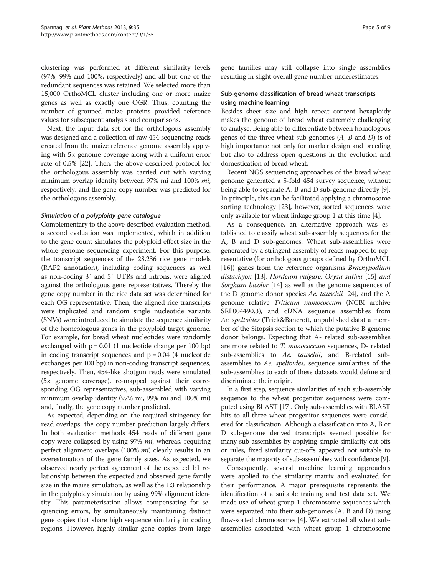clustering was performed at different similarity levels (97%, 99% and 100%, respectively) and all but one of the redundant sequences was retained. We selected more than 15,000 OrthoMCL cluster including one or more maize genes as well as exactly one OGR. Thus, counting the number of grouped maize proteins provided reference values for subsequent analysis and comparisons.

Next, the input data set for the orthologous assembly was designed and a collection of raw 454 sequencing reads created from the maize reference genome assembly applying with 5× genome coverage along with a uniform error rate of 0.5% [\[22\]](#page-8-0). Then, the above described protocol for the orthologous assembly was carried out with varying minimum overlap identity between 97% mi and 100% mi, respectively, and the gene copy number was predicted for the orthologous assembly.

#### Simulation of a polyploidy gene catalogue

Complementary to the above described evaluation method, a second evaluation was implemented, which in addition to the gene count simulates the polyploid effect size in the whole genome sequencing experiment. For this purpose, the transcript sequences of the 28,236 rice gene models (RAP2 annotation), including coding sequences as well as non-coding 3′ and 5′ UTRs and introns, were aligned against the orthologous gene representatives. Thereby the gene copy number in the rice data set was determined for each OG representative. Then, the aligned rice transcripts were triplicated and random single nucleotide variants (SNVs) were introduced to simulate the sequence similarity of the homeologous genes in the polyploid target genome. For example, for bread wheat nucleotides were randomly exchanged with  $p = 0.01$  (1 nucleotide change per 100 bp) in coding transcript sequences and  $p = 0.04$  (4 nucleotide exchanges per 100 bp) in non-coding transcript sequences, respectively. Then, 454-like shotgun reads were simulated (5× genome coverage), re-mapped against their corresponding OG representatives, sub-assembled with varying minimum overlap identity (97% mi, 99% mi and 100% mi) and, finally, the gene copy number predicted.

As expected, depending on the required stringency for read overlaps, the copy number prediction largely differs. In both evaluation methods 454 reads of different gene copy were collapsed by using 97% *mi*, whereas, requiring perfect alignment overlaps (100% mi) clearly results in an overestimation of the gene family sizes. As expected, we observed nearly perfect agreement of the expected 1:1 relationship between the expected and observed gene family size in the maize simulation, as well as the 1:3 relationship in the polyploidy simulation by using 99% alignment identity. This parameterisation allows compensating for sequencing errors, by simultaneously maintaining distinct gene copies that share high sequence similarity in coding regions. However, highly similar gene copies from large gene families may still collapse into single assemblies resulting in slight overall gene number underestimates.

# Sub-genome classification of bread wheat transcripts using machine learning

Besides sheer size and high repeat content hexaploidy makes the genome of bread wheat extremely challenging to analyse. Being able to differentiate between homologous genes of the three wheat sub-genomes  $(A, B, A)$  is of high importance not only for marker design and breeding but also to address open questions in the evolution and domestication of bread wheat.

Recent NGS sequencing approaches of the bread wheat genome generated a 5-fold 454 survey sequence, without being able to separate A, B and D sub-genome directly [[9](#page-7-0)]. In principle, this can be facilitated applying a chromosome sorting technology [[23](#page-8-0)], however, sorted sequences were only available for wheat linkage group 1 at this time [\[4](#page-7-0)].

As a consequence, an alternative approach was established to classify wheat sub-assembly sequences for the A, B and D sub-genomes. Wheat sub-assemblies were generated by a stringent assembly of reads mapped to representative (for orthologous groups defined by OrthoMCL [[16](#page-8-0)]) genes from the reference organisms Brachypodium distachyon [[13](#page-8-0)], Hordeum vulgare, Oryza sativa [[15](#page-8-0)] and Sorghum bicolor [[14](#page-8-0)] as well as the genome sequences of the D genome donor species Ae. tauschii [\[24\]](#page-8-0), and the A genome relative Triticum monococcum (NCBI archive SRP004490.3), and cDNA sequence assemblies from Ae. speltoides (Trick&Bancroft, unpublished data) a member of the Sitopsis section to which the putative B genome donor belongs. Expecting that A- related sub-assemblies are more related to T. monococcum sequences, D- related sub-assemblies to Ae. tauschii, and B-related subassemblies to Ae. speltoides, sequence similarities of the sub-assemblies to each of these datasets would define and discriminate their origin.

In a first step, sequence similarities of each sub-assembly sequence to the wheat progenitor sequences were computed using BLAST [[17](#page-8-0)]. Only sub-assemblies with BLAST hits to all three wheat progenitor sequences were considered for classification. Although a classification into A, B or D sub-genome derived transcripts seemed possible for many sub-assemblies by applying simple similarity cut-offs or rules, fixed similarity cut-offs appeared not suitable to separate the majority of sub-assemblies with confidence [\[9\]](#page-7-0).

Consequently, several machine learning approaches were applied to the similarity matrix and evaluated for their performance. A major prerequisite represents the identification of a suitable training and test data set. We made use of wheat group 1 chromosome sequences which were separated into their sub-genomes (A, B and D) using flow-sorted chromosomes [\[4](#page-7-0)]. We extracted all wheat subassemblies associated with wheat group 1 chromosome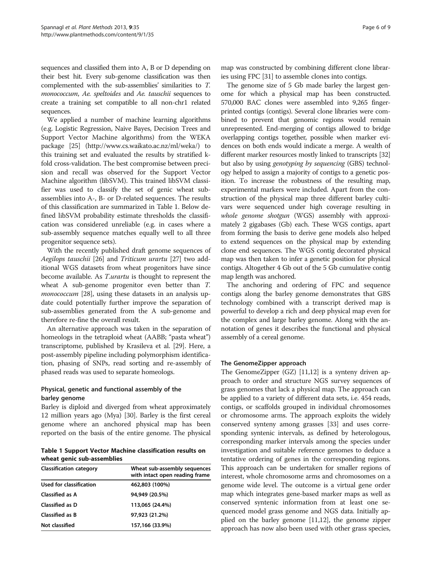sequences and classified them into A, B or D depending on their best hit. Every sub-genome classification was then complemented with the sub-assemblies' similarities to T. monococcum, Ae. speltoides and Ae. tauschii sequences to create a training set compatible to all non-chr1 related sequences.

We applied a number of machine learning algorithms (e.g. Logistic Regression, Naive Bayes, Decision Trees and Support Vector Machine algorithms) from the WEKA package [\[25\]](#page-8-0) ([http://www.cs.waikato.ac.nz/ml/weka/\)](http://www.cs.waikato.ac.nz/ml/weka/) to this training set and evaluated the results by stratified kfold cross-validation. The best compromise between precision and recall was observed for the Support Vector Machine algorithm (libSVM). This trained libSVM classifier was used to classify the set of genic wheat subassemblies into A-, B- or D-related sequences. The results of this classification are summarized in Table 1. Below defined libSVM probability estimate thresholds the classification was considered unreliable (e.g. in cases where a sub-assembly sequence matches equally well to all three progenitor sequence sets).

With the recently published draft genome sequences of Aegilops tauschii [\[26\]](#page-8-0) and Triticum urartu [[27](#page-8-0)] two additional WGS datasets from wheat progenitors have since become available. As T.urartu is thought to represent the wheat A sub-genome progenitor even better than T. monococcum [[28](#page-8-0)], using these datasets in an analysis update could potentially further improve the separation of sub-assemblies generated from the A sub-genome and therefore re-fine the overall result.

An alternative approach was taken in the separation of homeologs in the tetraploid wheat (AABB; "pasta wheat") transcriptome, published by Krasileva et al. [[29](#page-8-0)]. Here, a post-assembly pipeline including polymorphism identification, phasing of SNPs, read sorting and re-assembly of phased reads was used to separate homeologs.

# Physical, genetic and functional assembly of the barley genome

Barley is diploid and diverged from wheat approximately 12 million years ago (Mya) [\[30](#page-8-0)]. Barley is the first cereal genome where an anchored physical map has been reported on the basis of the entire genome. The physical

 $\frac{1}{2}$  wheat general support  $\frac{1}{2}$  support  $\frac{1}{2}$  and  $\frac{1}{2}$  and  $\frac{1}{2}$  and  $\frac{1}{2}$  are support on  $\frac{1}{2}$  and  $\frac{1}{2}$  are support on  $\frac{1}{2}$  and  $\frac{1}{2}$  are support on  $\frac{1}{2}$  and  $\frac{1}{2}$  ar

| <b>Classification category</b> | Wheat sub-assembly sequences<br>with intact open reading frame |
|--------------------------------|----------------------------------------------------------------|
| Used for classification        | 462,803 (100%)                                                 |
| Classified as A                | 94.949 (20.5%)                                                 |
| <b>Classified as D</b>         | 113,065 (24.4%)                                                |
| Classified as B                | 97.923 (21.2%)                                                 |
| Not classified                 | 157,166 (33.9%)                                                |

map was constructed by combining different clone libraries using FPC [[31](#page-8-0)] to assemble clones into contigs.

The genome size of 5 Gb made barley the largest genome for which a physical map has been constructed. 570,000 BAC clones were assembled into 9,265 fingerprinted contigs (contigs). Several clone libraries were combined to prevent that genomic regions would remain unrepresented. End-merging of contigs allowed to bridge overlapping contigs together, possible when marker evidences on both ends would indicate a merge. A wealth of different marker resources mostly linked to transcripts [\[32](#page-8-0)] but also by using *genotyping by sequencing* (GBS) technology helped to assign a majority of contigs to a genetic position. To increase the robustness of the resulting map, experimental markers were included. Apart from the construction of the physical map three different barley cultivars were sequenced under high coverage resulting in whole genome shotgun (WGS) assembly with approximately 2 gigabases (Gb) each. These WGS contigs, apart from forming the basis to derive gene models also helped to extend sequences on the physical map by extending clone end sequences. The WGS contig decorated physical map was then taken to infer a genetic position for physical contigs. Altogether 4 Gb out of the 5 Gb cumulative contig map length was anchored.

The anchoring and ordering of FPC and sequence contigs along the barley genome demonstrates that GBS technology combined with a transcript derived map is powerful to develop a rich and deep physical map even for the complex and large barley genome. Along with the annotation of genes it describes the functional and physical assembly of a cereal genome.

# The GenomeZipper approach

The GenomeZipper (GZ) [[11,12\]](#page-8-0) is a synteny driven approach to order and structure NGS survey sequences of grass genomes that lack a physical map. The approach can be applied to a variety of different data sets, i.e. 454 reads, contigs, or scaffolds grouped in individual chromosomes or chromosome arms. The approach exploits the widely conserved synteny among grasses [\[33](#page-8-0)] and uses corresponding syntenic intervals, as defined by heterologous, corresponding marker intervals among the species under investigation and suitable reference genomes to deduce a tentative ordering of genes in the corresponding regions. This approach can be undertaken for smaller regions of interest, whole chromosome arms and chromosomes on a genome wide level. The outcome is a virtual gene order map which integrates gene-based marker maps as well as conserved syntenic information from at least one sequenced model grass genome and NGS data. Initially applied on the barley genome [\[11,12](#page-8-0)], the genome zipper approach has now also been used with other grass species,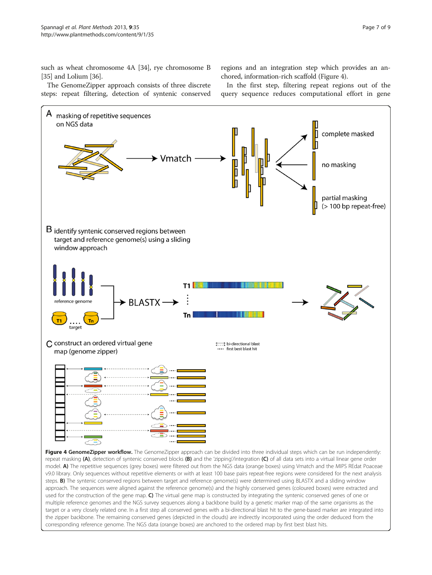such as wheat chromosome 4A [[34](#page-8-0)], rye chromosome B [[35](#page-8-0)] and Lolium [[36](#page-8-0)].

regions and an integration step which provides an anchored, information-rich scaffold (Figure 4).

The GenomeZipper approach consists of three discrete steps: repeat filtering, detection of syntenic conserved

In the first step, filtering repeat regions out of the query sequence reduces computational effort in gene

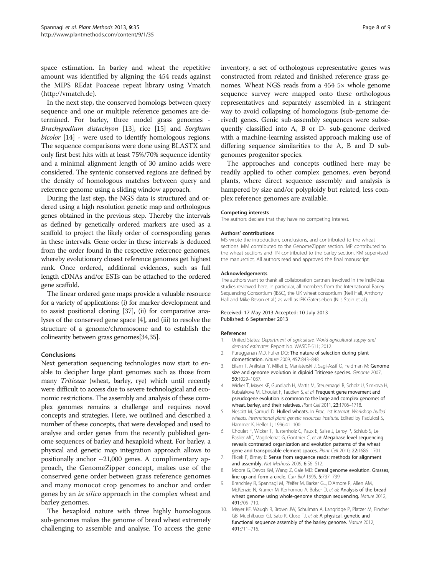<span id="page-7-0"></span>space estimation. In barley and wheat the repetitive amount was identified by aligning the 454 reads against the MIPS REdat Poaceae repeat library using Vmatch ([http://vmatch.de\)](http://vmatch.de).

In the next step, the conserved homologs between query sequence and one or multiple reference genomes are determined. For barley, three model grass genomes - Brachypodium distachyon [\[13\]](#page-8-0), rice [\[15\]](#page-8-0) and Sorghum bicolor [[14](#page-8-0)] - were used to identify homologous regions. The sequence comparisons were done using BLASTX and only first best hits with at least 75%/70% sequence identity and a minimal alignment length of 30 amino acids were considered. The syntenic conserved regions are defined by the density of homologous matches between query and reference genome using a sliding window approach.

During the last step, the NGS data is structured and ordered using a high resolution genetic map and orthologous genes obtained in the previous step. Thereby the intervals as defined by genetically ordered markers are used as a scaffold to project the likely order of corresponding genes in these intervals. Gene order in these intervals is deduced from the order found in the respective reference genomes, whereby evolutionary closest reference genomes get highest rank. Once ordered, additional evidences, such as full length cDNAs and/or ESTs can be attached to the ordered gene scaffold.

The linear ordered gene maps provide a valuable resource for a variety of applications: (i) for marker development and to assist positional cloning [\[37](#page-8-0)], (ii) for comparative analyses of the conserved gene space [4], and (iii) to resolve the structure of a genome/chromosome and to establish the colinearity between grass genomes[[34,35\]](#page-8-0).

# Conclusions

Next generation sequencing technologies now start to enable to decipher large plant genomes such as those from many *Triticeae* (wheat, barley, rye) which until recently were difficult to access due to severe technological and economic restrictions. The assembly and analysis of these complex genomes remains a challenge and requires novel concepts and strategies. Here, we outlined and described a number of these concepts, that were developed and used to analyse and order genes from the recently published genome sequences of barley and hexaploid wheat. For barley, a physical and genetic map integration approach allows to positionally anchor  $\sim$ 21,000 genes. A complimentary approach, the GenomeZipper concept, makes use of the conserved gene order between grass reference genomes and many monocot crop genomes to anchor and order genes by an *in silico* approach in the complex wheat and barley genomes.

The hexaploid nature with three highly homologous sub-genomes makes the genome of bread wheat extremely challenging to assemble and analyse. To access the gene inventory, a set of orthologous representative genes was constructed from related and finished reference grass genomes. Wheat NGS reads from a 454 5× whole genome sequence survey were mapped onto these orthologous representatives and separately assembled in a stringent way to avoid collapsing of homologous (sub-genome derived) genes. Genic sub-assembly sequences were subsequently classified into A, B or D- sub-genome derived with a machine-learning assisted approach making use of differing sequence similarities to the A, B and D subgenomes progenitor species.

The approaches and concepts outlined here may be readily applied to other complex genomes, even beyond plants, where direct sequence assembly and analysis is hampered by size and/or polyploidy but related, less complex reference genomes are available.

#### Competing interests

The authors declare that they have no competing interest.

#### Authors' contributions

MS wrote the introduction, conclusions, and contributed to the wheat sections. MM contributed to the GenomeZipper section. MP contributed to the wheat sections and TN contributed to the barley section. KM supervised the manuscript. All authors read and approved the final manuscript.

#### Acknowledgements

The authors want to thank all collaboration partners involved in the individual studies reviewed here. In particular, all members from the International Barley Sequencing Consortium (IBSC), the UK wheat consortium (Neil Hall, Anthony Hall and Mike Bevan et al.) as well as IPK Gatersleben (Nils Stein et al.).

#### Received: 17 May 2013 Accepted: 10 July 2013 Published: 6 September 2013

#### References

- 1. United States: Department of agriculture. World agricultural supply and demand estimates. Report No. WASDE-511; 2012.
- 2. Purugganan MD, Fuller DQ: The nature of selection during plant domestication. Nature 2009, 457:843–848.
- 3. Eilam T, Anikster Y, Millet E, Manisterski J, Sagi-Assif O, Feldman M: Genome size and genome evolution in diploid Triticeae species. Genome 2007, 50:1029–1037.
- 4. Wicker T, Mayer KF, Gundlach H, Martis M, Steuernagel B, Scholz U, Simkova H, Kubalakova M, Choulet F, Taudien S, et al: Frequent gene movement and pseudogene evolution is common to the large and complex genomes of wheat, barley, and their relatives. Plant Cell 2011, 23:1706–1718.
- 5. Nesbitt M, Samuel D: Hulled wheats. In Proc. 1st Internat. Workshop hulled wheats, international plant genetic resources institute. Edited by Padulosi S, Hammer K, Heller J.; 1996:41–100.
- 6. Choulet F, Wicker T, Rustenholz C, Paux E, Salse J, Leroy P, Schlub S, Le Paslier MC, Magdelenat G, Gonthier C, et al: Megabase level sequencing reveals contrasted organization and evolution patterns of the wheat gene and transposable element spaces. Plant Cell 2010, 22:1686–1701.
- 7. Flicek P, Birney E: Sense from sequence reads: methods for alignment and assembly. Nat Methods 2009, 6:S6–S12.
- 8. Moore G, Devos KM, Wang Z, Gale MD: Cereal genome evolution. Grasses, line up and form a circle. Curr Biol 1995, 5:737-739.
- 9. Brenchley R, Spannagl M, Pfeifer M, Barker GL, D'Amore R, Allen AM, McKenzie N, Kramer M, Kerhornou A, Bolser D, et al: Analysis of the bread wheat genome using whole-genome shotgun sequencing. Nature 2012, 491:705–710.
- 10. Mayer KF, Waugh R, Brown JW, Schulman A, Langridge P, Platzer M, Fincher GB, Muehlbauer GJ, Sato K, Close TJ, et al: A physical, genetic and functional sequence assembly of the barley genome. Nature 2012, 491:711–716.